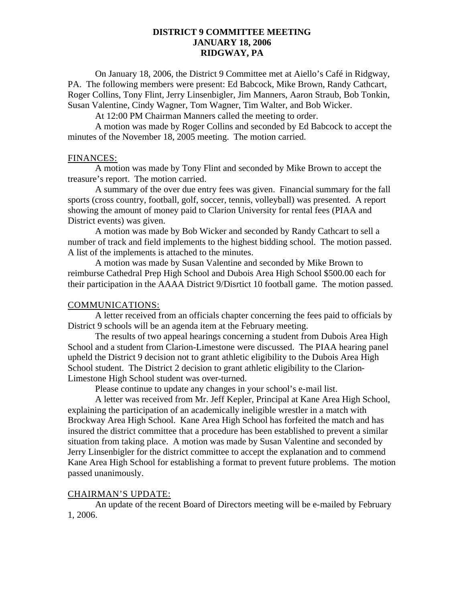## **DISTRICT 9 COMMITTEE MEETING JANUARY 18, 2006 RIDGWAY, PA**

On January 18, 2006, the District 9 Committee met at Aiello's Café in Ridgway, PA. The following members were present: Ed Babcock, Mike Brown, Randy Cathcart, Roger Collins, Tony Flint, Jerry Linsenbigler, Jim Manners, Aaron Straub, Bob Tonkin, Susan Valentine, Cindy Wagner, Tom Wagner, Tim Walter, and Bob Wicker.

At 12:00 PM Chairman Manners called the meeting to order.

A motion was made by Roger Collins and seconded by Ed Babcock to accept the minutes of the November 18, 2005 meeting. The motion carried.

#### FINANCES:

A motion was made by Tony Flint and seconded by Mike Brown to accept the treasure's report. The motion carried.

A summary of the over due entry fees was given. Financial summary for the fall sports (cross country, football, golf, soccer, tennis, volleyball) was presented. A report showing the amount of money paid to Clarion University for rental fees (PIAA and District events) was given.

A motion was made by Bob Wicker and seconded by Randy Cathcart to sell a number of track and field implements to the highest bidding school. The motion passed. A list of the implements is attached to the minutes.

A motion was made by Susan Valentine and seconded by Mike Brown to reimburse Cathedral Prep High School and Dubois Area High School \$500.00 each for their participation in the AAAA District 9/Disrtict 10 football game. The motion passed.

### COMMUNICATIONS:

A letter received from an officials chapter concerning the fees paid to officials by District 9 schools will be an agenda item at the February meeting.

The results of two appeal hearings concerning a student from Dubois Area High School and a student from Clarion-Limestone were discussed. The PIAA hearing panel upheld the District 9 decision not to grant athletic eligibility to the Dubois Area High School student. The District 2 decision to grant athletic eligibility to the Clarion-Limestone High School student was over-turned.

Please continue to update any changes in your school's e-mail list.

A letter was received from Mr. Jeff Kepler, Principal at Kane Area High School, explaining the participation of an academically ineligible wrestler in a match with Brockway Area High School. Kane Area High School has forfeited the match and has insured the district committee that a procedure has been established to prevent a similar situation from taking place. A motion was made by Susan Valentine and seconded by Jerry Linsenbigler for the district committee to accept the explanation and to commend Kane Area High School for establishing a format to prevent future problems. The motion passed unanimously.

### CHAIRMAN'S UPDATE:

An update of the recent Board of Directors meeting will be e-mailed by February 1, 2006.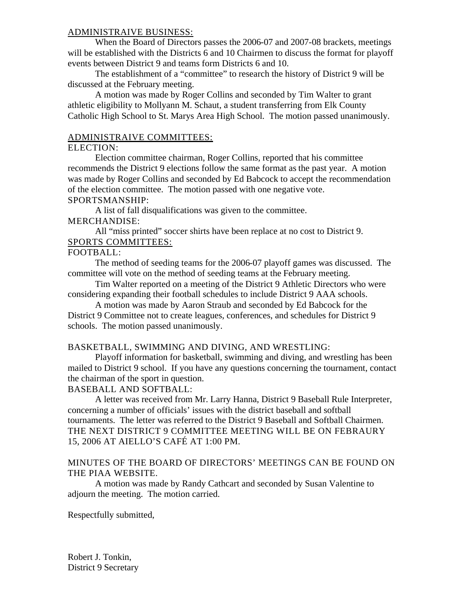## ADMINISTRAIVE BUSINESS:

When the Board of Directors passes the 2006-07 and 2007-08 brackets, meetings will be established with the Districts 6 and 10 Chairmen to discuss the format for playoff events between District 9 and teams form Districts 6 and 10.

The establishment of a "committee" to research the history of District 9 will be discussed at the February meeting.

A motion was made by Roger Collins and seconded by Tim Walter to grant athletic eligibility to Mollyann M. Schaut, a student transferring from Elk County Catholic High School to St. Marys Area High School. The motion passed unanimously.

## ADMINISTRAIVE COMMITTEES:

### ELECTION:

Election committee chairman, Roger Collins, reported that his committee recommends the District 9 elections follow the same format as the past year. A motion was made by Roger Collins and seconded by Ed Babcock to accept the recommendation of the election committee. The motion passed with one negative vote. SPORTSMANSHIP:

A list of fall disqualifications was given to the committee. MERCHANDISE:

All "miss printed" soccer shirts have been replace at no cost to District 9. SPORTS COMMITTEES:

## FOOTBALL:

The method of seeding teams for the 2006-07 playoff games was discussed. The committee will vote on the method of seeding teams at the February meeting.

Tim Walter reported on a meeting of the District 9 Athletic Directors who were considering expanding their football schedules to include District 9 AAA schools.

A motion was made by Aaron Straub and seconded by Ed Babcock for the District 9 Committee not to create leagues, conferences, and schedules for District 9 schools. The motion passed unanimously.

## BASKETBALL, SWIMMING AND DIVING, AND WRESTLING:

Playoff information for basketball, swimming and diving, and wrestling has been mailed to District 9 school. If you have any questions concerning the tournament, contact the chairman of the sport in question.

## BASEBALL AND SOFTBALL:

A letter was received from Mr. Larry Hanna, District 9 Baseball Rule Interpreter, concerning a number of officials' issues with the district baseball and softball tournaments. The letter was referred to the District 9 Baseball and Softball Chairmen. THE NEXT DISTRICT 9 COMMITTEE MEETING WILL BE ON FEBRAURY 15, 2006 AT AIELLO'S CAFÉ AT 1:00 PM.

## MINUTES OF THE BOARD OF DIRECTORS' MEETINGS CAN BE FOUND ON THE PIAA WEBSITE.

A motion was made by Randy Cathcart and seconded by Susan Valentine to adjourn the meeting. The motion carried.

Respectfully submitted,